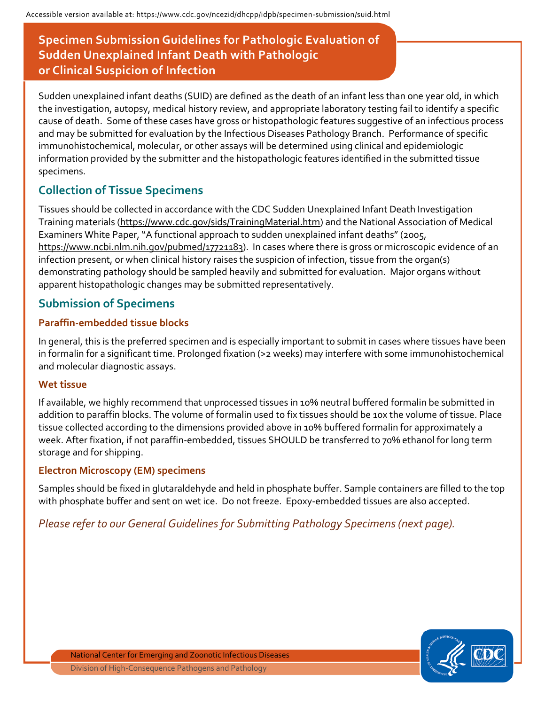# **Specimen Submission Guidelines for Pathologic Evaluation of Sudden Unexplained Infant Death with Pathologic or Clinical Suspicion of Infection**

Sudden unexplained infant deaths (SUID) are defined as the death of an infant less than one year old, in which the investigation, autopsy, medical history review, and appropriate laboratory testing fail to identify a specific cause of death. Some of these cases have gross or histopathologic features suggestive of an infectious process and may be submitted for evaluation by the Infectious Diseases Pathology Branch. Performance of specific immunohistochemical, molecular, or other assays will be determined using clinical and epidemiologic information provided by the submitter and the histopathologic features identified in the submitted tissue specimens.

## **Collection of Tissue Specimens**

Tissues should be collected in accordance with the CDC Sudden Unexplained Infant Death Investigation Training materials [\(https://www.cdc.gov/sids/TrainingMaterial.htm\)](https://www.cdc.gov/sids/TrainingMaterial.htm) and the National Association of Medical Examiners White Paper, "A functional approach to sudden unexplained infant deaths" (2005, https://www.ncbi.nlm.nih.gov/pubmed/17721183). In cases where there is gross or microscopic evidence of an infection present, or when clinical history raises the suspicion of infection, tissue from the organ(s) demonstrating pathology should be sampled heavily and submitted for evaluation. Major organs without apparent histopathologic changes may be submitted representatively.

### **Submission of Specimens**

### **Paraffin-embedded tissue blocks**

In general, this is the preferred specimen and is especially important to submit in cases where tissues have been in formalin for a significant time. Prolonged fixation (>2 weeks) may interfere with some immunohistochemical and molecular diagnostic assays.

#### **Wet tissue**

If available, we highly recommend that unprocessed tissues in 10% neutral buffered formalin be submitted in addition to paraffin blocks. The volume of formalin used to fix tissues should be 10x the volume of tissue. Place tissue collected according to the dimensions provided above in 10% buffered formalin for approximately a week. After fixation, if not paraffin-embedded, tissues SHOULD be transferred to 70% ethanol for long term storage and for shipping.

### **Electron Microscopy (EM) specimens**

Samples should be fixed in glutaraldehyde and held in phosphate buffer. Sample containers are filled to the top with phosphate buffer and sent on wet ice. Do not freeze. Epoxy-embedded tissues are also accepted.

*Please refer to our General Guidelines for Submitting Pathology Specimens (next page).*